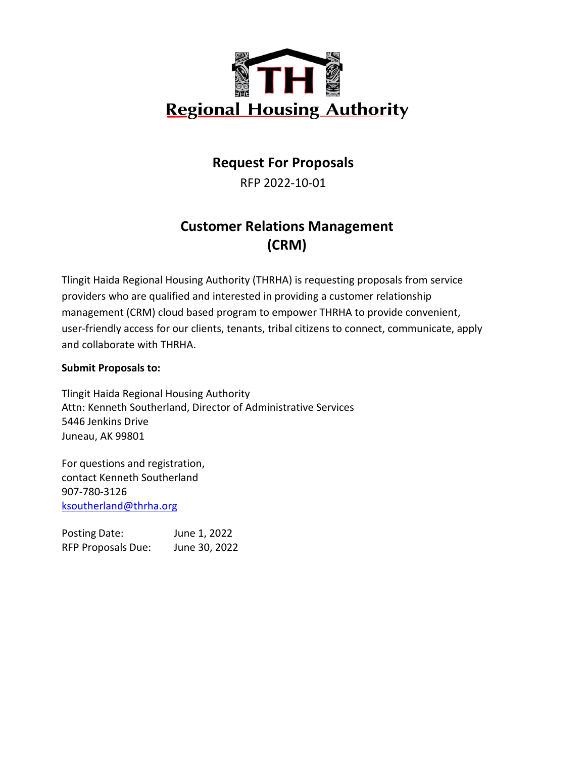

# **Request For Proposals**

RFP 2022-10-01

# **Customer Relations Management (CRM)**

Tlingit Haida Regional Housing Authority (THRHA) is requesting proposals from service providers who are qualified and interested in providing a customer relationship management (CRM) cloud based program to empower THRHA to provide convenient, user-friendly access for our clients, tenants, tribal citizens to connect, communicate, apply and collaborate with THRHA.

# **Submit Proposals to:**

Tlingit Haida Regional Housing Authority Attn: Kenneth Southerland, Director of Administrative Services 5446 Jenkins Drive Juneau, AK 99801

For questions and registration, contact Kenneth Southerland 907-780-3126 [ksoutherland@thrha.org](mailto:ksoutherland@thrha.org)

Posting Date: June 1, 2022 RFP Proposals Due: June 30, 2022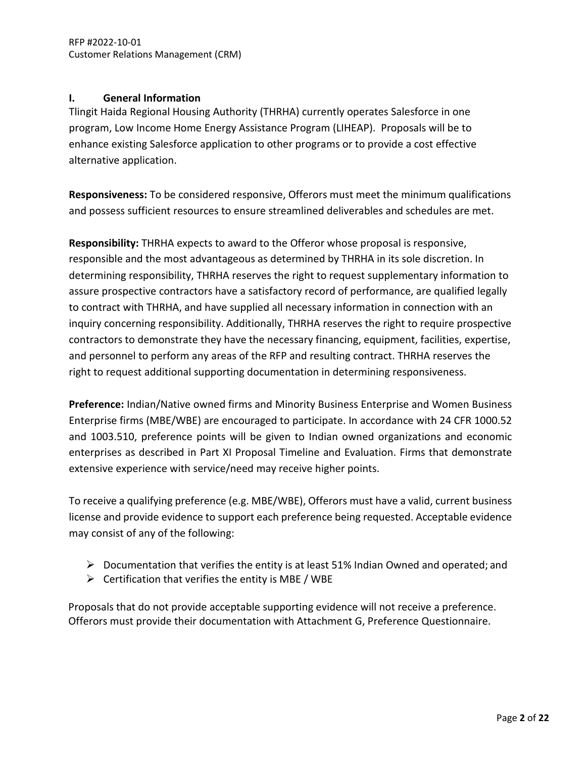# **I. General Information**

Tlingit Haida Regional Housing Authority (THRHA) currently operates Salesforce in one program, Low Income Home Energy Assistance Program (LIHEAP). Proposals will be to enhance existing Salesforce application to other programs or to provide a cost effective alternative application.

**Responsiveness:** To be considered responsive, Offerors must meet the minimum qualifications and possess sufficient resources to ensure streamlined deliverables and schedules are met.

**Responsibility:** THRHA expects to award to the Offeror whose proposal is responsive, responsible and the most advantageous as determined by THRHA in its sole discretion. In determining responsibility, THRHA reserves the right to request supplementary information to assure prospective contractors have a satisfactory record of performance, are qualified legally to contract with THRHA, and have supplied all necessary information in connection with an inquiry concerning responsibility. Additionally, THRHA reserves the right to require prospective contractors to demonstrate they have the necessary financing, equipment, facilities, expertise, and personnel to perform any areas of the RFP and resulting contract. THRHA reserves the right to request additional supporting documentation in determining responsiveness.

**Preference:** Indian/Native owned firms and Minority Business Enterprise and Women Business Enterprise firms (MBE/WBE) are encouraged to participate. In accordance with 24 CFR 1000.52 and 1003.510, preference points will be given to Indian owned organizations and economic enterprises as described in Part XI Proposal Timeline and Evaluation. Firms that demonstrate extensive experience with service/need may receive higher points.

To receive a qualifying preference (e.g. MBE/WBE), Offerors must have a valid, current business license and provide evidence to support each preference being requested. Acceptable evidence may consist of any of the following:

- $\triangleright$  Documentation that verifies the entity is at least 51% Indian Owned and operated; and
- $\triangleright$  Certification that verifies the entity is MBE / WBE

Proposals that do not provide acceptable supporting evidence will not receive a preference. Offerors must provide their documentation with Attachment G, Preference Questionnaire.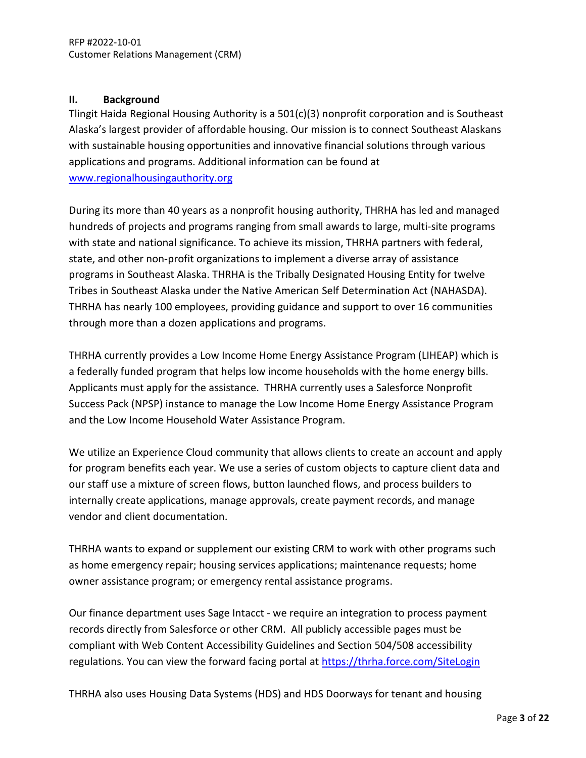## **II. Background**

Tlingit Haida Regional Housing Authority is a 501(c)(3) nonprofit corporation and is Southeast Alaska's largest provider of affordable housing. Our mission is to connect Southeast Alaskans with sustainable housing opportunities and innovative financial solutions through various applications and programs. Additional information can be found at [www.regionalhousingauthority.org](http://www.regionalhousingauthority.org/)

During its more than 40 years as a nonprofit housing authority, THRHA has led and managed hundreds of projects and programs ranging from small awards to large, multi-site programs with state and national significance. To achieve its mission, THRHA partners with federal, state, and other non-profit organizations to implement a diverse array of assistance programs in Southeast Alaska. THRHA is the Tribally Designated Housing Entity for twelve Tribes in Southeast Alaska under the Native American Self Determination Act (NAHASDA). THRHA has nearly 100 employees, providing guidance and support to over 16 communities through more than a dozen applications and programs.

THRHA currently provides a Low Income Home Energy Assistance Program (LIHEAP) which is a federally funded program that helps low income households with the home energy bills. Applicants must apply for the assistance. THRHA currently uses a Salesforce Nonprofit Success Pack (NPSP) instance to manage the Low Income Home Energy Assistance Program and the Low Income Household Water Assistance Program.

We utilize an Experience Cloud community that allows clients to create an account and apply for program benefits each year. We use a series of custom objects to capture client data and our staff use a mixture of screen flows, button launched flows, and process builders to internally create applications, manage approvals, create payment records, and manage vendor and client documentation.

THRHA wants to expand or supplement our existing CRM to work with other programs such as home emergency repair; housing services applications; maintenance requests; home owner assistance program; or emergency rental assistance programs.

Our finance department uses Sage Intacct - we require an integration to process payment records directly from Salesforce or other CRM. All publicly accessible pages must be compliant with Web Content Accessibility Guidelines and Section 504/508 accessibility regulations. You can view the forward facing portal at<https://thrha.force.com/SiteLogin>

THRHA also uses Housing Data Systems (HDS) and HDS Doorways for tenant and housing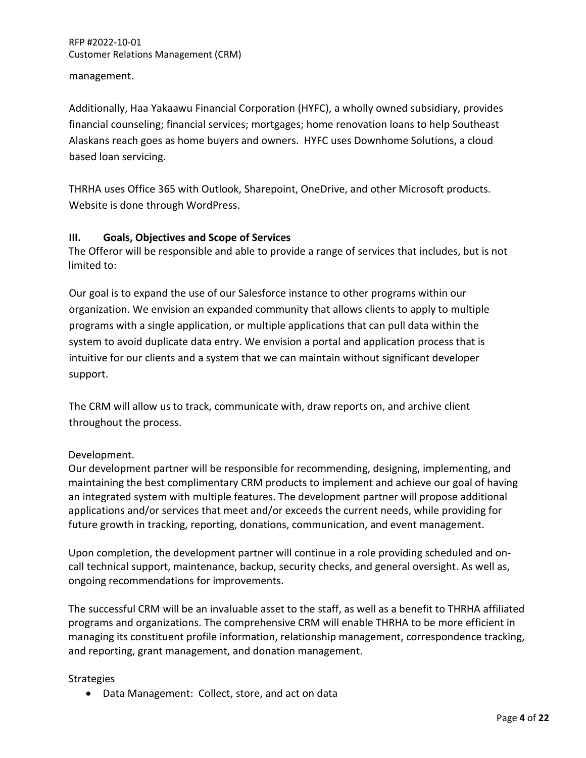management.

Additionally, Haa Yakaawu Financial Corporation (HYFC), a wholly owned subsidiary, provides financial counseling; financial services; mortgages; home renovation loans to help Southeast Alaskans reach goes as home buyers and owners. HYFC uses Downhome Solutions, a cloud based loan servicing.

THRHA uses Office 365 with Outlook, Sharepoint, OneDrive, and other Microsoft products. Website is done through WordPress.

# **III. Goals, Objectives and Scope of Services**

The Offeror will be responsible and able to provide a range of services that includes, but is not limited to:

Our goal is to expand the use of our Salesforce instance to other programs within our organization. We envision an expanded community that allows clients to apply to multiple programs with a single application, or multiple applications that can pull data within the system to avoid duplicate data entry. We envision a portal and application process that is intuitive for our clients and a system that we can maintain without significant developer support.

The CRM will allow us to track, communicate with, draw reports on, and archive client throughout the process.

# Development.

Our development partner will be responsible for recommending, designing, implementing, and maintaining the best complimentary CRM products to implement and achieve our goal of having an integrated system with multiple features. The development partner will propose additional applications and/or services that meet and/or exceeds the current needs, while providing for future growth in tracking, reporting, donations, communication, and event management.

Upon completion, the development partner will continue in a role providing scheduled and oncall technical support, maintenance, backup, security checks, and general oversight. As well as, ongoing recommendations for improvements.

The successful CRM will be an invaluable asset to the staff, as well as a benefit to THRHA affiliated programs and organizations. The comprehensive CRM will enable THRHA to be more efficient in managing its constituent profile information, relationship management, correspondence tracking, and reporting, grant management, and donation management.

## **Strategies**

• Data Management: Collect, store, and act on data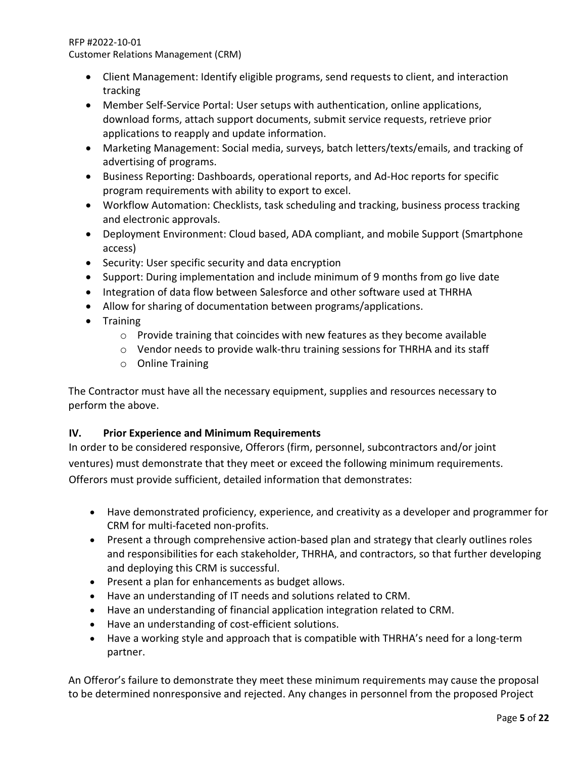- Client Management: Identify eligible programs, send requests to client, and interaction tracking
- Member Self-Service Portal: User setups with authentication, online applications, download forms, attach support documents, submit service requests, retrieve prior applications to reapply and update information.
- Marketing Management: Social media, surveys, batch letters/texts/emails, and tracking of advertising of programs.
- Business Reporting: Dashboards, operational reports, and Ad-Hoc reports for specific program requirements with ability to export to excel.
- Workflow Automation: Checklists, task scheduling and tracking, business process tracking and electronic approvals.
- Deployment Environment: Cloud based, ADA compliant, and mobile Support (Smartphone access)
- Security: User specific security and data encryption
- Support: During implementation and include minimum of 9 months from go live date
- Integration of data flow between Salesforce and other software used at THRHA
- Allow for sharing of documentation between programs/applications.
- Training
	- $\circ$  Provide training that coincides with new features as they become available
	- $\circ$  Vendor needs to provide walk-thru training sessions for THRHA and its staff
	- o Online Training

The Contractor must have all the necessary equipment, supplies and resources necessary to perform the above.

# **IV. Prior Experience and Minimum Requirements**

In order to be considered responsive, Offerors (firm, personnel, subcontractors and/or joint ventures) must demonstrate that they meet or exceed the following minimum requirements. Offerors must provide sufficient, detailed information that demonstrates:

- Have demonstrated proficiency, experience, and creativity as a developer and programmer for CRM for multi-faceted non-profits.
- Present a through comprehensive action-based plan and strategy that clearly outlines roles and responsibilities for each stakeholder, THRHA, and contractors, so that further developing and deploying this CRM is successful.
- Present a plan for enhancements as budget allows.
- Have an understanding of IT needs and solutions related to CRM.
- Have an understanding of financial application integration related to CRM.
- Have an understanding of cost-efficient solutions.
- Have a working style and approach that is compatible with THRHA's need for a long-term partner.

An Offeror's failure to demonstrate they meet these minimum requirements may cause the proposal to be determined nonresponsive and rejected. Any changes in personnel from the proposed Project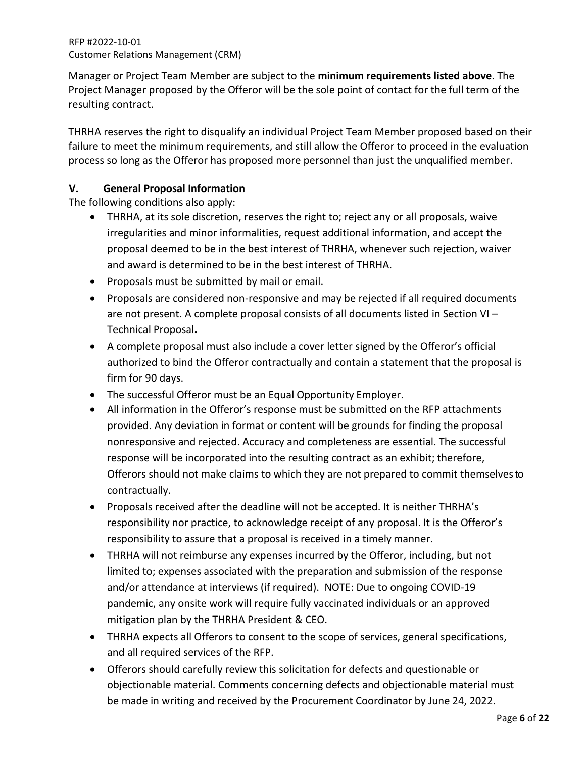Manager or Project Team Member are subject to the **minimum requirements listed above**. The Project Manager proposed by the Offeror will be the sole point of contact for the full term of the resulting contract.

THRHA reserves the right to disqualify an individual Project Team Member proposed based on their failure to meet the minimum requirements, and still allow the Offeror to proceed in the evaluation process so long as the Offeror has proposed more personnel than just the unqualified member.

# **V. General Proposal Information**

The following conditions also apply:

- THRHA, at its sole discretion, reserves the right to; reject any or all proposals, waive irregularities and minor informalities, request additional information, and accept the proposal deemed to be in the best interest of THRHA, whenever such rejection, waiver and award is determined to be in the best interest of THRHA.
- Proposals must be submitted by mail or email.
- Proposals are considered non-responsive and may be rejected if all required documents are not present. A complete proposal consists of all documents listed in Section VI – Technical Proposal**.**
- A complete proposal must also include a cover letter signed by the Offeror's official authorized to bind the Offeror contractually and contain a statement that the proposal is firm for 90 days.
- The successful Offeror must be an Equal Opportunity Employer.
- All information in the Offeror's response must be submitted on the RFP attachments provided. Any deviation in format or content will be grounds for finding the proposal nonresponsive and rejected. Accuracy and completeness are essential. The successful response will be incorporated into the resulting contract as an exhibit; therefore, Offerors should not make claims to which they are not prepared to commit themselvesto contractually.
- Proposals received after the deadline will not be accepted. It is neither THRHA's responsibility nor practice, to acknowledge receipt of any proposal. It is the Offeror's responsibility to assure that a proposal is received in a timely manner.
- THRHA will not reimburse any expenses incurred by the Offeror, including, but not limited to; expenses associated with the preparation and submission of the response and/or attendance at interviews (if required). NOTE: Due to ongoing COVID-19 pandemic, any onsite work will require fully vaccinated individuals or an approved mitigation plan by the THRHA President & CEO.
- THRHA expects all Offerors to consent to the scope of services, general specifications, and all required services of the RFP.
- Offerors should carefully review this solicitation for defects and questionable or objectionable material. Comments concerning defects and objectionable material must be made in writing and received by the Procurement Coordinator by June 24, 2022.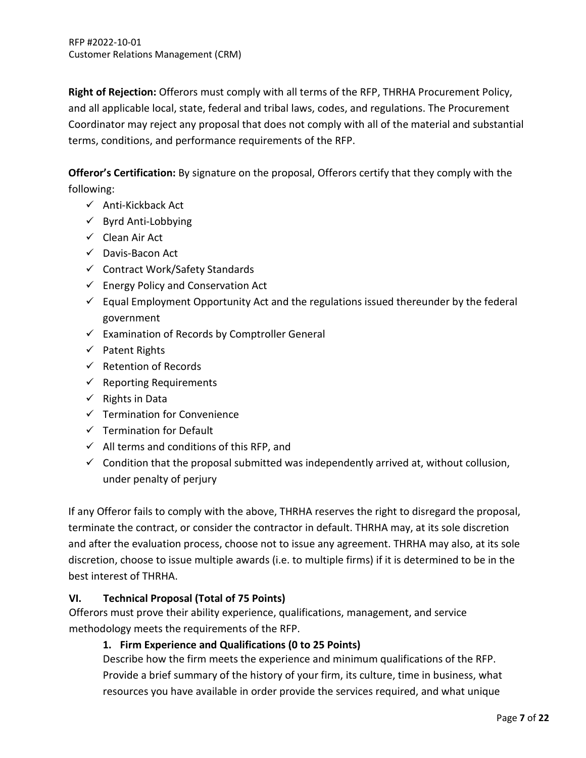**Right of Rejection:** Offerors must comply with all terms of the RFP, THRHA Procurement Policy, and all applicable local, state, federal and tribal laws, codes, and regulations. The Procurement Coordinator may reject any proposal that does not comply with all of the material and substantial terms, conditions, and performance requirements of the RFP.

**Offeror's Certification:** By signature on the proposal, Offerors certify that they comply with the following:

- $\checkmark$  Anti-Kickback Act
- $\checkmark$  Byrd Anti-Lobbying
- $\checkmark$  Clean Air Act
- $\checkmark$  Davis-Bacon Act
- $\checkmark$  Contract Work/Safety Standards
- $\checkmark$  Energy Policy and Conservation Act
- $\checkmark$  Equal Employment Opportunity Act and the regulations issued thereunder by the federal government
- $\checkmark$  Examination of Records by Comptroller General
- $\checkmark$  Patent Rights
- $\checkmark$  Retention of Records
- $\checkmark$  Reporting Requirements
- $\checkmark$  Rights in Data
- $\checkmark$  Termination for Convenience
- $\checkmark$  Termination for Default
- $\checkmark$  All terms and conditions of this RFP, and
- $\checkmark$  Condition that the proposal submitted was independently arrived at, without collusion, under penalty of perjury

If any Offeror fails to comply with the above, THRHA reserves the right to disregard the proposal, terminate the contract, or consider the contractor in default. THRHA may, at its sole discretion and after the evaluation process, choose not to issue any agreement. THRHA may also, at its sole discretion, choose to issue multiple awards (i.e. to multiple firms) if it is determined to be in the best interest of THRHA.

# **VI. Technical Proposal (Total of 75 Points)**

Offerors must prove their ability experience, qualifications, management, and service methodology meets the requirements of the RFP.

# **1. Firm Experience and Qualifications (0 to 25 Points)**

Describe how the firm meets the experience and minimum qualifications of the RFP. Provide a brief summary of the history of your firm, its culture, time in business, what resources you have available in order provide the services required, and what unique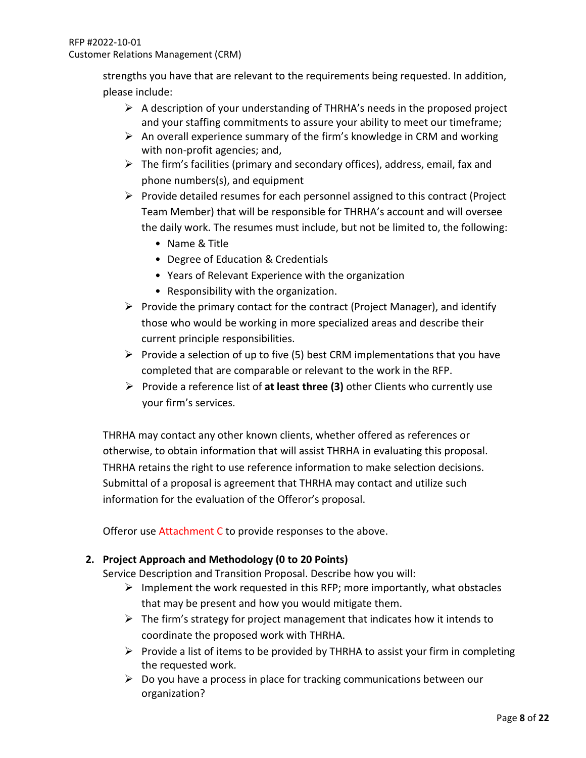strengths you have that are relevant to the requirements being requested. In addition, please include:

- $\triangleright$  A description of your understanding of THRHA's needs in the proposed project and your staffing commitments to assure your ability to meet our timeframe;
- $\triangleright$  An overall experience summary of the firm's knowledge in CRM and working with non-profit agencies; and,
- $\triangleright$  The firm's facilities (primary and secondary offices), address, email, fax and phone numbers(s), and equipment
- $\triangleright$  Provide detailed resumes for each personnel assigned to this contract (Project Team Member) that will be responsible for THRHA's account and will oversee the daily work. The resumes must include, but not be limited to, the following:
	- Name & Title
	- Degree of Education & Credentials
	- Years of Relevant Experience with the organization
	- Responsibility with the organization.
- $\triangleright$  Provide the primary contact for the contract (Project Manager), and identify those who would be working in more specialized areas and describe their current principle responsibilities.
- Provide a selection of up to five (5) best CRM implementations that you have completed that are comparable or relevant to the work in the RFP.
- Provide a reference list of **at least three (3)** other Clients who currently use your firm's services.

THRHA may contact any other known clients, whether offered as references or otherwise, to obtain information that will assist THRHA in evaluating this proposal. THRHA retains the right to use reference information to make selection decisions. Submittal of a proposal is agreement that THRHA may contact and utilize such information for the evaluation of the Offeror's proposal.

Offeror use Attachment C to provide responses to the above.

# **2. Project Approach and Methodology (0 to 20 Points)**

Service Description and Transition Proposal. Describe how you will:

- $\triangleright$  Implement the work requested in this RFP; more importantly, what obstacles that may be present and how you would mitigate them.
- $\triangleright$  The firm's strategy for project management that indicates how it intends to coordinate the proposed work with THRHA.
- $\triangleright$  Provide a list of items to be provided by THRHA to assist your firm in completing the requested work.
- $\triangleright$  Do you have a process in place for tracking communications between our organization?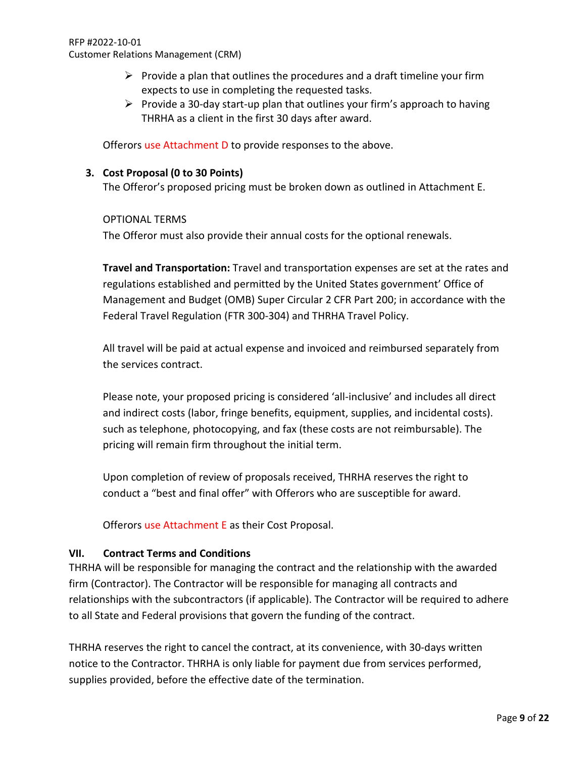- $\triangleright$  Provide a plan that outlines the procedures and a draft timeline your firm expects to use in completing the requested tasks.
- $\triangleright$  Provide a 30-day start-up plan that outlines your firm's approach to having THRHA as a client in the first 30 days after award.

Offerors use Attachment D to provide responses to the above.

## **3. Cost Proposal (0 to 30 Points)**

The Offeror's proposed pricing must be broken down as outlined in Attachment E.

OPTIONAL TERMS

The Offeror must also provide their annual costs for the optional renewals.

**Travel and Transportation:** Travel and transportation expenses are set at the rates and regulations established and permitted by the United States government' Office of Management and Budget (OMB) Super Circular 2 CFR Part 200; in accordance with the Federal Travel Regulation (FTR 300-304) and THRHA Travel Policy.

All travel will be paid at actual expense and invoiced and reimbursed separately from the services contract.

Please note, your proposed pricing is considered 'all-inclusive' and includes all direct and indirect costs (labor, fringe benefits, equipment, supplies, and incidental costs). such as telephone, photocopying, and fax (these costs are not reimbursable). The pricing will remain firm throughout the initial term.

Upon completion of review of proposals received, THRHA reserves the right to conduct a "best and final offer" with Offerors who are susceptible for award.

Offerors use Attachment E as their Cost Proposal.

## **VII. Contract Terms and Conditions**

THRHA will be responsible for managing the contract and the relationship with the awarded firm (Contractor). The Contractor will be responsible for managing all contracts and relationships with the subcontractors (if applicable). The Contractor will be required to adhere to all State and Federal provisions that govern the funding of the contract.

THRHA reserves the right to cancel the contract, at its convenience, with 30-days written notice to the Contractor. THRHA is only liable for payment due from services performed, supplies provided, before the effective date of the termination.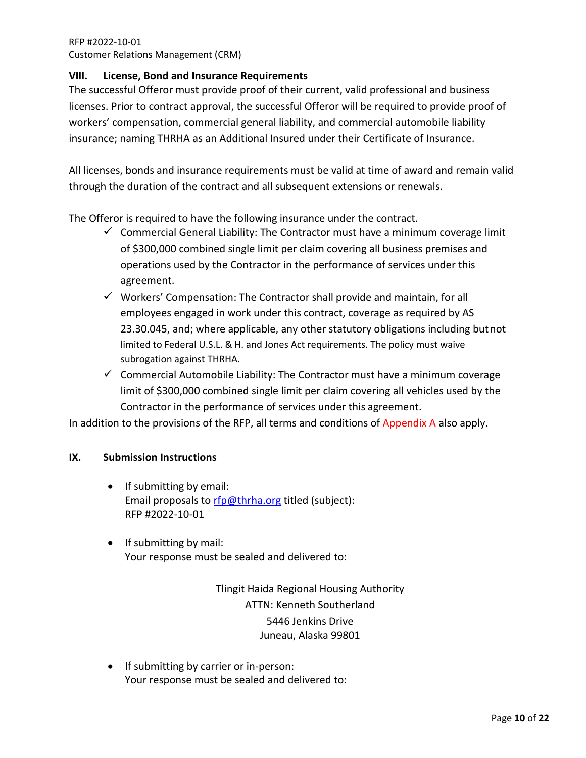## **VIII. License, Bond and Insurance Requirements**

The successful Offeror must provide proof of their current, valid professional and business licenses. Prior to contract approval, the successful Offeror will be required to provide proof of workers' compensation, commercial general liability, and commercial automobile liability insurance; naming THRHA as an Additional Insured under their Certificate of Insurance.

All licenses, bonds and insurance requirements must be valid at time of award and remain valid through the duration of the contract and all subsequent extensions or renewals.

The Offeror is required to have the following insurance under the contract.

- $\checkmark$  Commercial General Liability: The Contractor must have a minimum coverage limit of \$300,000 combined single limit per claim covering all business premises and operations used by the Contractor in the performance of services under this agreement.
- $\checkmark$  Workers' Compensation: The Contractor shall provide and maintain, for all employees engaged in work under this contract, coverage as required by AS 23.30.045, and; where applicable, any other statutory obligations including butnot limited to Federal U.S.L. & H. and Jones Act requirements. The policy must waive subrogation against THRHA.
- $\checkmark$  Commercial Automobile Liability: The Contractor must have a minimum coverage limit of \$300,000 combined single limit per claim covering all vehicles used by the Contractor in the performance of services under this agreement.

In addition to the provisions of the RFP, all terms and conditions of Appendix A also apply.

## **IX. Submission Instructions**

- If submitting by email: Email proposals to [rfp@thrha.org](mailto:rfp@thrha.org) titled (subject): RFP #2022-10-01
- If submitting by mail: Your response must be sealed and delivered to:

Tlingit Haida Regional Housing Authority ATTN: Kenneth Southerland 5446 Jenkins Drive Juneau, Alaska 99801

• If submitting by carrier or in-person: Your response must be sealed and delivered to: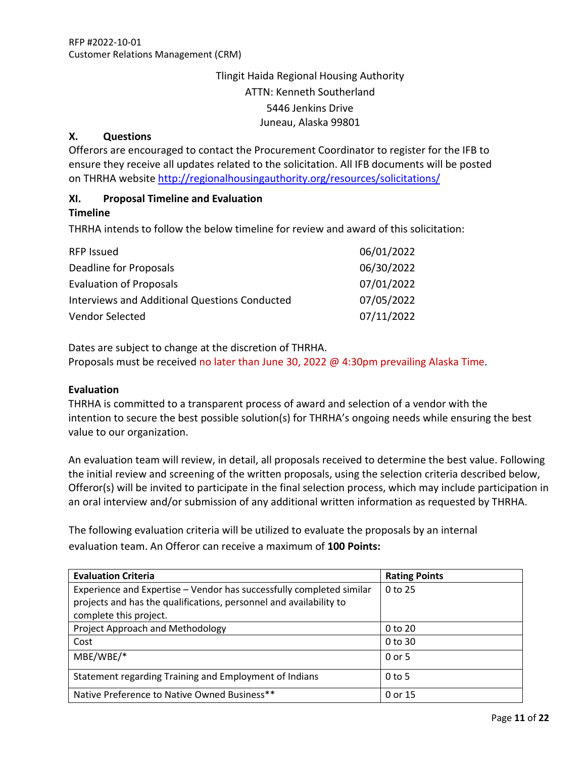# Tlingit Haida Regional Housing Authority ATTN: Kenneth Southerland 5446 Jenkins Drive Juneau, Alaska 99801

## **X. Questions**

Offerors are encouraged to contact the Procurement Coordinator to register for the IFB to ensure they receive all updates related to the solicitation. All IFB documents will be posted on THRHA website<http://regionalhousingauthority.org/resources/solicitations/>

## **XI. Proposal Timeline and Evaluation**

#### **Timeline**

THRHA intends to follow the below timeline for review and award of this solicitation:

| <b>RFP Issued</b>                                    | 06/01/2022 |
|------------------------------------------------------|------------|
| Deadline for Proposals                               | 06/30/2022 |
| <b>Evaluation of Proposals</b>                       | 07/01/2022 |
| <b>Interviews and Additional Questions Conducted</b> | 07/05/2022 |
| Vendor Selected                                      | 07/11/2022 |

Dates are subject to change at the discretion of THRHA. Proposals must be received no later than June 30, 2022 @ 4:30pm prevailing Alaska Time.

#### **Evaluation**

THRHA is committed to a transparent process of award and selection of a vendor with the intention to secure the best possible solution(s) for THRHA's ongoing needs while ensuring the best value to our organization.

An evaluation team will review, in detail, all proposals received to determine the best value. Following the initial review and screening of the written proposals, using the selection criteria described below, Offeror(s) will be invited to participate in the final selection process, which may include participation in an oral interview and/or submission of any additional written information as requested by THRHA.

The following evaluation criteria will be utilized to evaluate the proposals by an internal evaluation team. An Offeror can receive a maximum of **100 Points:**

| <b>Evaluation Criteria</b>                                           | <b>Rating Points</b> |
|----------------------------------------------------------------------|----------------------|
| Experience and Expertise - Vendor has successfully completed similar | 0 to 25              |
| projects and has the qualifications, personnel and availability to   |                      |
| complete this project.                                               |                      |
| Project Approach and Methodology                                     | 0 to 20              |
| Cost                                                                 | 0 to 30              |
| $MBE/WBE/*$                                                          | 0 or 5               |
| Statement regarding Training and Employment of Indians               | $0$ to 5             |
| Native Preference to Native Owned Business**                         | 0 or 15              |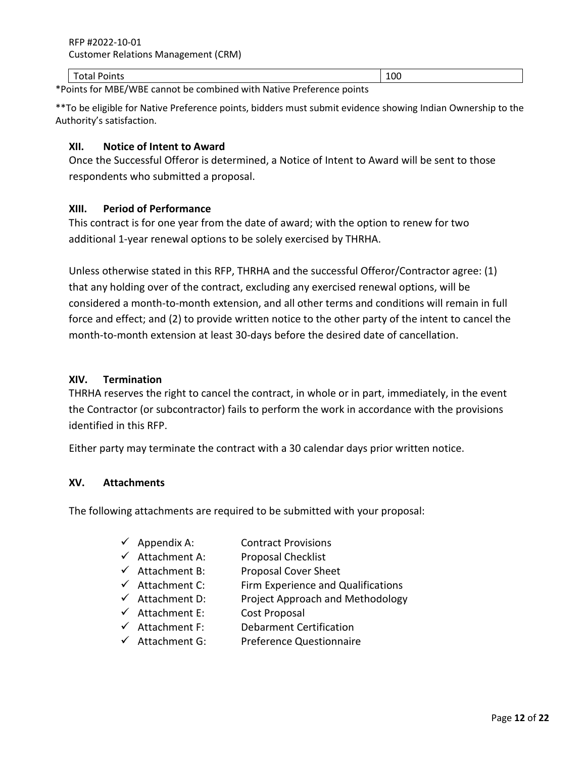#### Total Points 100 and 200 and 200 and 200 and 200 and 200 and 200 and 200 and 200 and 200 and 200 and 200 and 200 and 200 and 200 and 200 and 200 and 200 and 200 and 200 and 200 and 200 and 200 and 200 and 200 and 200 and 2

\*Points for MBE/WBE cannot be combined with Native Preference points

\*\*To be eligible for Native Preference points, bidders must submit evidence showing Indian Ownership to the Authority's satisfaction.

### **XII. Notice of Intent to Award**

Once the Successful Offeror is determined, a Notice of Intent to Award will be sent to those respondents who submitted a proposal.

## **XIII. Period of Performance**

This contract is for one year from the date of award; with the option to renew for two additional 1-year renewal options to be solely exercised by THRHA.

Unless otherwise stated in this RFP, THRHA and the successful Offeror/Contractor agree: (1) that any holding over of the contract, excluding any exercised renewal options, will be considered a month-to-month extension, and all other terms and conditions will remain in full force and effect; and (2) to provide written notice to the other party of the intent to cancel the month-to-month extension at least 30-days before the desired date of cancellation.

### **XIV. Termination**

THRHA reserves the right to cancel the contract, in whole or in part, immediately, in the event the Contractor (or subcontractor) fails to perform the work in accordance with the provisions identified in this RFP.

Either party may terminate the contract with a 30 calendar days prior written notice.

#### **XV. Attachments**

The following attachments are required to be submitted with your proposal:

- $\checkmark$  Appendix A: Contract Provisions
- $\checkmark$  Attachment A: Proposal Checklist
- $\checkmark$  Attachment B: Proposal Cover Sheet
- $\checkmark$  Attachment C: Firm Experience and Qualifications
- $\checkmark$  Attachment D: Project Approach and Methodology
- $\checkmark$  Attachment E: Cost Proposal
- $\checkmark$  Attachment F: Debarment Certification
- $\checkmark$  Attachment G: Preference Questionnaire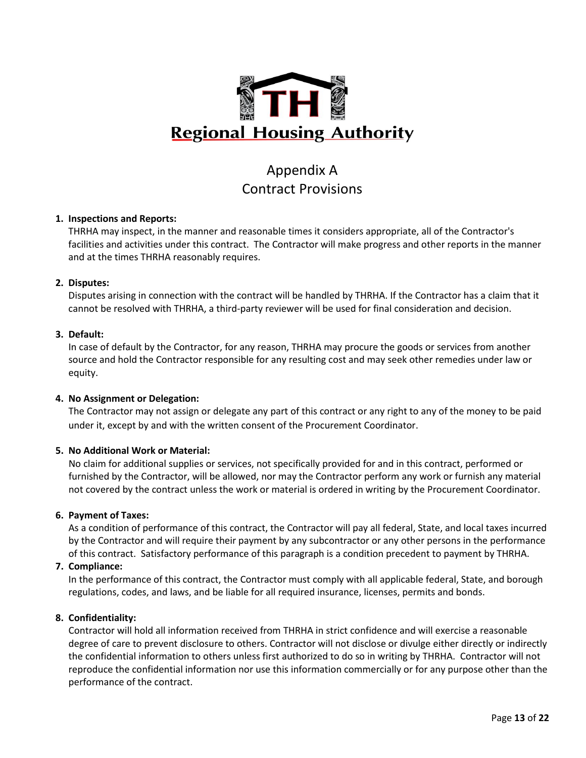

# Appendix A Contract Provisions

#### **1. Inspections and Reports:**

THRHA may inspect, in the manner and reasonable times it considers appropriate, all of the Contractor's facilities and activities under this contract. The Contractor will make progress and other reports in the manner and at the times THRHA reasonably requires.

#### **2. Disputes:**

Disputes arising in connection with the contract will be handled by THRHA. If the Contractor has a claim that it cannot be resolved with THRHA, a third-party reviewer will be used for final consideration and decision.

#### **3. Default:**

In case of default by the Contractor, for any reason, THRHA may procure the goods or services from another source and hold the Contractor responsible for any resulting cost and may seek other remedies under law or equity.

#### **4. No Assignment or Delegation:**

The Contractor may not assign or delegate any part of this contract or any right to any of the money to be paid under it, except by and with the written consent of the Procurement Coordinator.

#### **5. No Additional Work or Material:**

No claim for additional supplies or services, not specifically provided for and in this contract, performed or furnished by the Contractor, will be allowed, nor may the Contractor perform any work or furnish any material not covered by the contract unless the work or material is ordered in writing by the Procurement Coordinator.

#### **6. Payment of Taxes:**

As a condition of performance of this contract, the Contractor will pay all federal, State, and local taxes incurred by the Contractor and will require their payment by any subcontractor or any other persons in the performance of this contract. Satisfactory performance of this paragraph is a condition precedent to payment by THRHA.

## **7. Compliance:**

In the performance of this contract, the Contractor must comply with all applicable federal, State, and borough regulations, codes, and laws, and be liable for all required insurance, licenses, permits and bonds.

#### **8. Confidentiality:**

Contractor will hold all information received from THRHA in strict confidence and will exercise a reasonable degree of care to prevent disclosure to others. Contractor will not disclose or divulge either directly or indirectly the confidential information to others unless first authorized to do so in writing by THRHA. Contractor will not reproduce the confidential information nor use this information commercially or for any purpose other than the performance of the contract.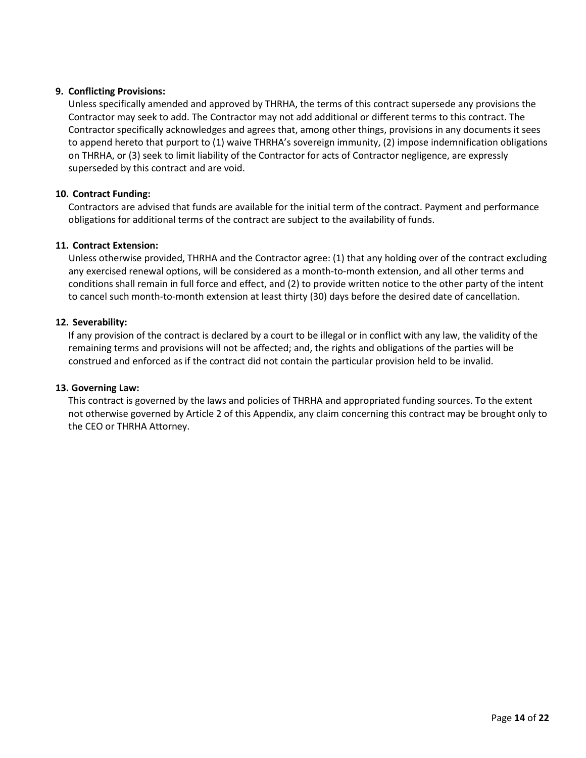#### **9. Conflicting Provisions:**

Unless specifically amended and approved by THRHA, the terms of this contract supersede any provisions the Contractor may seek to add. The Contractor may not add additional or different terms to this contract. The Contractor specifically acknowledges and agrees that, among other things, provisions in any documents it sees to append hereto that purport to (1) waive THRHA's sovereign immunity, (2) impose indemnification obligations on THRHA, or (3) seek to limit liability of the Contractor for acts of Contractor negligence, are expressly superseded by this contract and are void.

#### **10. Contract Funding:**

Contractors are advised that funds are available for the initial term of the contract. Payment and performance obligations for additional terms of the contract are subject to the availability of funds.

#### **11. Contract Extension:**

Unless otherwise provided, THRHA and the Contractor agree: (1) that any holding over of the contract excluding any exercised renewal options, will be considered as a month-to-month extension, and all other terms and conditions shall remain in full force and effect, and (2) to provide written notice to the other party of the intent to cancel such month-to-month extension at least thirty (30) days before the desired date of cancellation.

#### **12. Severability:**

If any provision of the contract is declared by a court to be illegal or in conflict with any law, the validity of the remaining terms and provisions will not be affected; and, the rights and obligations of the parties will be construed and enforced as if the contract did not contain the particular provision held to be invalid.

#### **13. Governing Law:**

This contract is governed by the laws and policies of THRHA and appropriated funding sources. To the extent not otherwise governed by Article 2 of this Appendix, any claim concerning this contract may be brought only to the CEO or THRHA Attorney.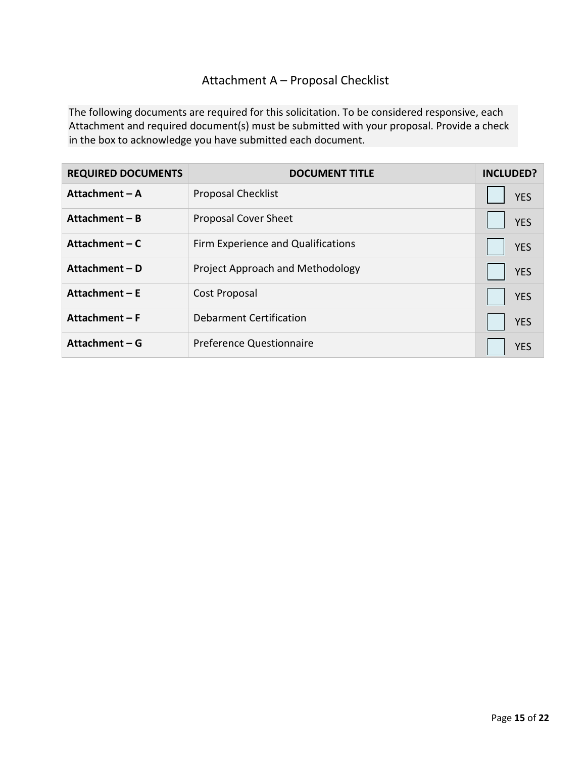# Attachment A – Proposal Checklist

The following documents are required for this solicitation. To be considered responsive, each Attachment and required document(s) must be submitted with your proposal. Provide a check in the box to acknowledge you have submitted each document.

| <b>REQUIRED DOCUMENTS</b> | <b>DOCUMENT TITLE</b>              | <b>INCLUDED?</b> |
|---------------------------|------------------------------------|------------------|
| Attachment - A            | <b>Proposal Checklist</b>          | <b>YES</b>       |
| Attachment – B            | <b>Proposal Cover Sheet</b>        | <b>YES</b>       |
| Attachment – C            | Firm Experience and Qualifications | <b>YES</b>       |
| Attachment - D            | Project Approach and Methodology   | <b>YES</b>       |
| Attachment $-E$           | Cost Proposal                      | <b>YES</b>       |
| Attachment - F            | Debarment Certification            | <b>YES</b>       |
| Attachment – G            | <b>Preference Questionnaire</b>    | <b>YES</b>       |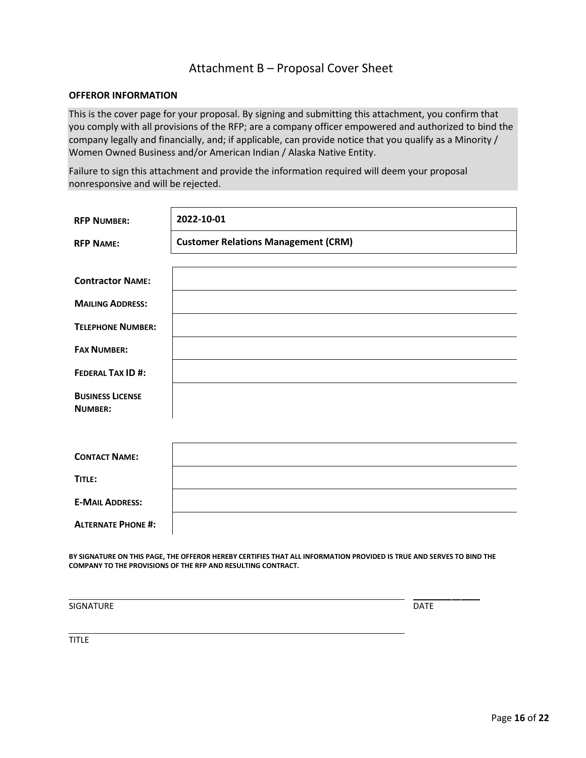# Attachment B – Proposal Cover Sheet

#### **OFFEROR INFORMATION**

This is the cover page for your proposal. By signing and submitting this attachment, you confirm that you comply with all provisions of the RFP; are a company officer empowered and authorized to bind the company legally and financially, and; if applicable, can provide notice that you qualify as a Minority / Women Owned Business and/or American Indian / Alaska Native Entity.

Failure to sign this attachment and provide the information required will deem your proposal nonresponsive and will be rejected.

| <b>RFP NUMBER:</b>        | 2022-10-01                                 |
|---------------------------|--------------------------------------------|
| <b>RFP NAME:</b>          | <b>Customer Relations Management (CRM)</b> |
|                           |                                            |
| <b>Contractor NAME:</b>   |                                            |
| <b>MAILING ADDRESS:</b>   |                                            |
| <b>TELEPHONE NUMBER:</b>  |                                            |
| <b>FAX NUMBER:</b>        |                                            |
| <b>FEDERAL TAX ID#:</b>   |                                            |
| <b>BUSINESS LICENSE</b>   |                                            |
| <b>NUMBER:</b>            |                                            |
|                           |                                            |
| <b>CONTACT NAME:</b>      |                                            |
| TITLE:                    |                                            |
| <b>E-MAIL ADDRESS:</b>    |                                            |
| <b>ALTERNATE PHONE #:</b> |                                            |

**BY SIGNATURE ON THIS PAGE, THE OFFEROR HEREBY CERTIFIES THAT ALL INFORMATION PROVIDED IS TRUE AND SERVES TO BIND THE COMPANY TO THE PROVISIONS OF THE RFP AND RESULTING CONTRACT.**

SIGNATURE DATE

TITLE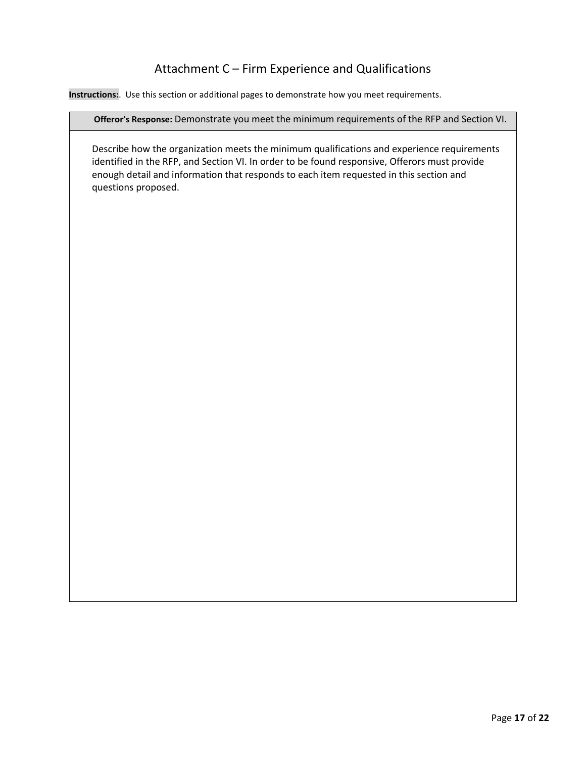# Attachment C – Firm Experience and Qualifications

**Instructions:**. Use this section or additional pages to demonstrate how you meet requirements.

#### **Offeror's Response:** Demonstrate you meet the minimum requirements of the RFP and Section VI.

Describe how the organization meets the minimum qualifications and experience requirements identified in the RFP, and Section VI. In order to be found responsive, Offerors must provide enough detail and information that responds to each item requested in this section and questions proposed.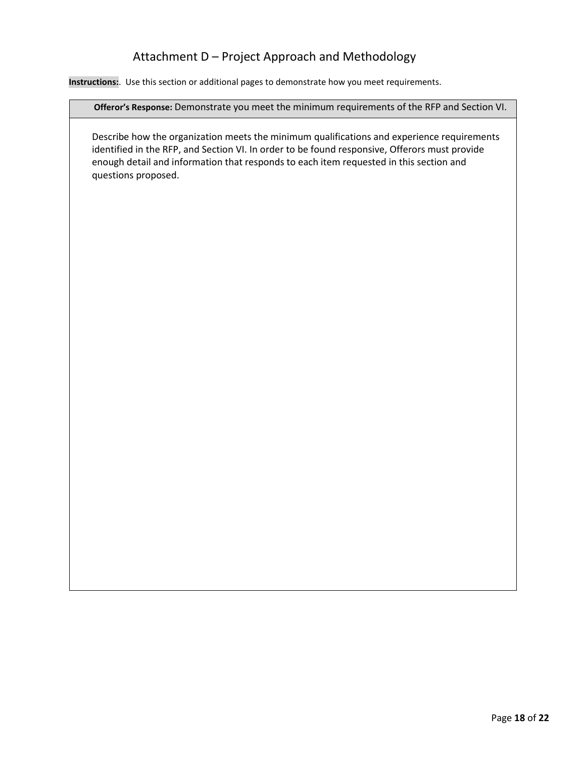# Attachment D – Project Approach and Methodology

**Instructions:**. Use this section or additional pages to demonstrate how you meet requirements.

**Offeror's Response:** Demonstrate you meet the minimum requirements of the RFP and Section VI.

Describe how the organization meets the minimum qualifications and experience requirements identified in the RFP, and Section VI. In order to be found responsive, Offerors must provide enough detail and information that responds to each item requested in this section and questions proposed.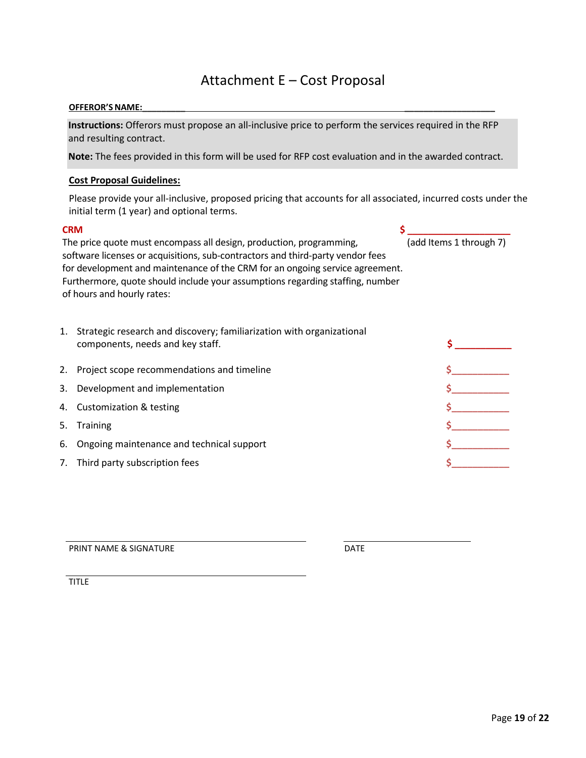# Attachment E – Cost Proposal

#### **OFFEROR'S NAME:\_\_\_\_\_\_\_\_\_ \_\_\_\_\_\_\_\_\_\_\_\_\_\_\_\_\_\_\_**

**Instructions:** Offerors must propose an all-inclusive price to perform the services required in the RFP and resulting contract.

**Note:** The fees provided in this form will be used for RFP cost evaluation and in the awarded contract.

#### **Cost Proposal Guidelines:**

Please provide your all-inclusive, proposed pricing that accounts for all associated, incurred costs under the initial term (1 year) and optional terms.

#### **CRM**  $\sim$  **5**

The price quote must encompass all design, production, programming, (add Items 1 through 7) software licenses or acquisitions, sub-contractors and third-party vendor fees for development and maintenance of the CRM for an ongoing service agreement. Furthermore, quote should include your assumptions regarding staffing, number of hours and hourly rates:

| 1. Strategic research and discovery; familiarization with organizational |  |
|--------------------------------------------------------------------------|--|
| components, needs and key staff.                                         |  |

| 2. Project scope recommendations and timeline |  |
|-----------------------------------------------|--|
| 3. Development and implementation             |  |
| 4. Customization & testing                    |  |
| 5. Training                                   |  |
| 6. Ongoing maintenance and technical support  |  |
| 7. Third party subscription fees              |  |
|                                               |  |

PRINT NAME & SIGNATURE DATE

TITLE<sup>1</sup>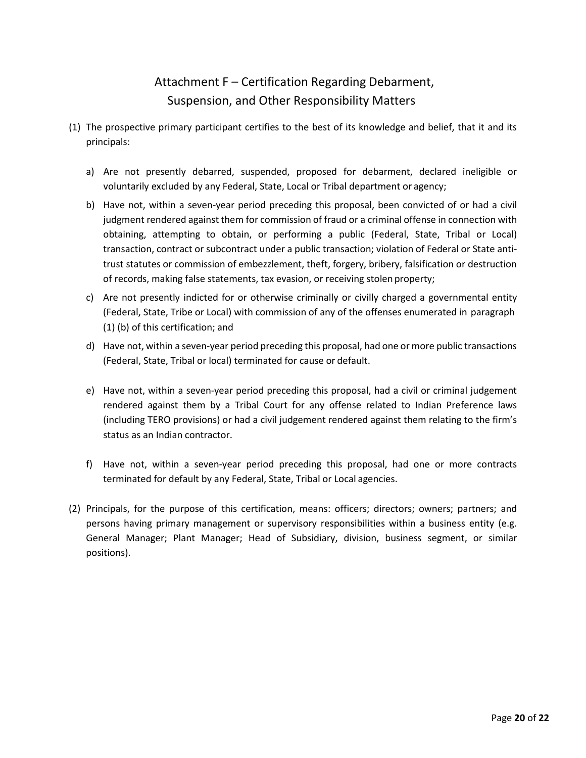# Attachment F – Certification Regarding Debarment, Suspension, and Other Responsibility Matters

- (1) The prospective primary participant certifies to the best of its knowledge and belief, that it and its principals:
	- a) Are not presently debarred, suspended, proposed for debarment, declared ineligible or voluntarily excluded by any Federal, State, Local or Tribal department or agency;
	- b) Have not, within a seven-year period preceding this proposal, been convicted of or had a civil judgment rendered against them for commission of fraud or a criminal offense in connection with obtaining, attempting to obtain, or performing a public (Federal, State, Tribal or Local) transaction, contract or subcontract under a public transaction; violation of Federal or State antitrust statutes or commission of embezzlement, theft, forgery, bribery, falsification or destruction of records, making false statements, tax evasion, or receiving stolen property;
	- c) Are not presently indicted for or otherwise criminally or civilly charged a governmental entity (Federal, State, Tribe or Local) with commission of any of the offenses enumerated in paragraph (1) (b) of this certification; and
	- d) Have not, within a seven-year period preceding this proposal, had one or more public transactions (Federal, State, Tribal or local) terminated for cause or default.
	- e) Have not, within a seven-year period preceding this proposal, had a civil or criminal judgement rendered against them by a Tribal Court for any offense related to Indian Preference laws (including TERO provisions) or had a civil judgement rendered against them relating to the firm's status as an Indian contractor.
	- f) Have not, within a seven-year period preceding this proposal, had one or more contracts terminated for default by any Federal, State, Tribal or Local agencies.
- (2) Principals, for the purpose of this certification, means: officers; directors; owners; partners; and persons having primary management or supervisory responsibilities within a business entity (e.g. General Manager; Plant Manager; Head of Subsidiary, division, business segment, or similar positions).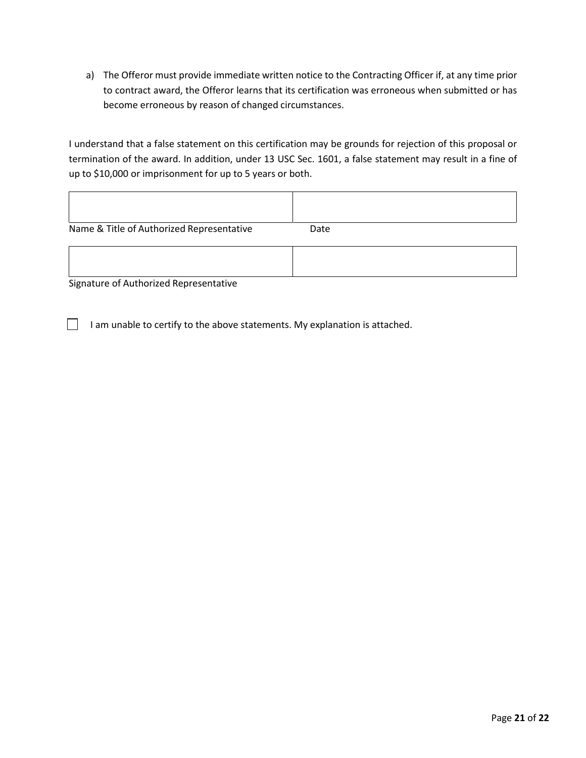a) The Offeror must provide immediate written notice to the Contracting Officer if, at any time prior to contract award, the Offeror learns that its certification was erroneous when submitted or has become erroneous by reason of changed circumstances.

I understand that a false statement on this certification may be grounds for rejection of this proposal or termination of the award. In addition, under 13 USC Sec. 1601, a false statement may result in a fine of up to \$10,000 or imprisonment for up to 5 years or both.

| Name & Title of Authorized Representative | Date |
|-------------------------------------------|------|
|                                           |      |

Signature of Authorized Representative

 $\Box$  I am unable to certify to the above statements. My explanation is attached.